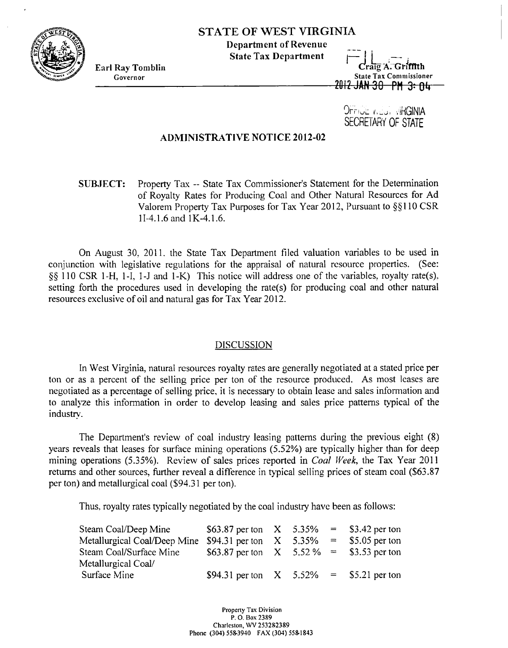

## **STATE OF WEST VIRGINIA**

**Department of Revenue** 

Earl Ray Tomblin **State Tax Department**  $\begin{array}{c} \begin{array}{c} \begin{array}{c} \begin{array}{c} \begin{array}{c} \end{array} \\ \end{array} \\ \begin{array}{c} \end{array} \\ \begin{array}{c} \end{array} \\ \end{array} \\ \begin{array}{c} \end{array} \\ \end{array} \\ \begin{array}{c} \end{array} \\ \begin{array}{c} \end{array} \\ \end{array} \\ \begin{array}{c} \end{array} \\ \end{array} \\ \begin{array}{c} \end{array} \\ \begin{array}{c} \end{array} \\ \begin{array}{c$ **Governor State Tax Commissioner State Tax Commissioner State Tax Commissioner** 

> 9rrioE v.Edi , IHGINIA SECRETARY **OF** STATE

## **ADMINISTRATIVE NOTICE 2012-02**

**SUBJECT:** Property Tas -- State Tax Commissioner's Statement for the Determination of Royalty Rates for Producing Coal and Other Natural Resources for Ad Valorem Property Tax Purposes for Tax Year 2012, Pursuant to §§110 CSR 11-4.1.6 and 1K-4.1.6.

On August 30, 2011, the State Tax Department filed valuation variables to be used in conjunction with legislative regulations for the appraisal of natural resource properties. (See: *\$5* 1 10 CSR 1 -H, 1-1, 1 -J and 1-K) This notice will address one of the variables, royalty rate(s). setting forth the procedures used in developing the rate(s) for producing coal and other natural resources exclusive of oil and natural gas for Tax Year 2012.

## DISCUSSION

In West Virginia, natural resources royalty rates are generally negotiated at a stated price per ton or as a percent of the selling price per ton of the resource produced. **As** most leases are negotiated as a percentage of selling price. it is necessary to obtain lease and sales information and to analyze this information in order to develop leasing and sales price patterns typical of the industry.

The Department's review of coal industry leasing patterns during the previous eight (8) years reveals that leases for surface mining operations (5.52%) are typically higher than for deep mining operations (5.35%). Review of sales prices reported in *Coal Week*, the Tax Year 2011 returns and other sources, further reveal a difference in typical selling prices of steam coal (\$63.87 per ton) and metallurgical coal (\$94.3 1 per ton).

Thus. royalty rates typically negotiated by the coal industry have been as follows:

| Steam Coal/Deep Mine                                                     | \$63.87 per ton $X = 5.35\% = 5.3542$ per ton |  |  |
|--------------------------------------------------------------------------|-----------------------------------------------|--|--|
| Metallurgical Coal/Deep Mine $$94.31$ per ton $X$ 5.35% = \$5.05 per ton |                                               |  |  |
| Steam Coal/Surface Mine                                                  | \$63.87 per ton $X = 5.52\% = 153.53$ per ton |  |  |
| Metallurgical Coal/                                                      |                                               |  |  |
| Surface Mine                                                             | \$94.31 per ton $X = 5.52\% = 5.21$ per ton   |  |  |

**Property Tax Division P. 0. Box <sup>2389</sup> Charleston, LW 253282389 Phone (30.1) 5583910 FAX (30.1) 5581833**